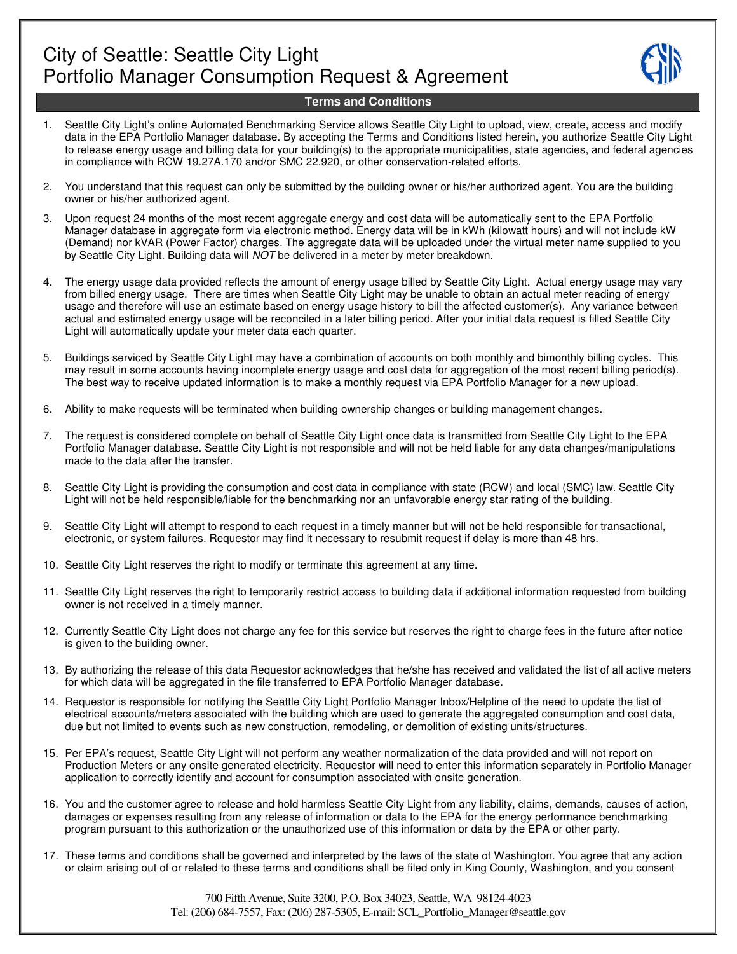

## **Terms and Conditions**

- 1. Seattle City Light's online Automated Benchmarking Service allows Seattle City Light to upload, view, create, access and modify data in the EPA Portfolio Manager database. By accepting the Terms and Conditions listed herein, you authorize Seattle City Light to release energy usage and billing data for your building(s) to the appropriate municipalities, state agencies, and federal agencies in compliance with RCW 19.27A.170 and/or SMC 22.920, or other conservation-related efforts.
- 2. You understand that this request can only be submitted by the building owner or his/her authorized agent. You are the building owner or his/her authorized agent.
- 3. Upon request 24 months of the most recent aggregate energy and cost data will be automatically sent to the EPA Portfolio Manager database in aggregate form via electronic method. Energy data will be in kWh (kilowatt hours) and will not include kW (Demand) nor kVAR (Power Factor) charges. The aggregate data will be uploaded under the virtual meter name supplied to you by Seattle City Light. Building data will NOT be delivered in a meter by meter breakdown.
- 4. The energy usage data provided reflects the amount of energy usage billed by Seattle City Light. Actual energy usage may vary from billed energy usage. There are times when Seattle City Light may be unable to obtain an actual meter reading of energy usage and therefore will use an estimate based on energy usage history to bill the affected customer(s). Any variance between actual and estimated energy usage will be reconciled in a later billing period. After your initial data request is filled Seattle City Light will automatically update your meter data each quarter.
- 5. Buildings serviced by Seattle City Light may have a combination of accounts on both monthly and bimonthly billing cycles. This may result in some accounts having incomplete energy usage and cost data for aggregation of the most recent billing period(s). The best way to receive updated information is to make a monthly request via EPA Portfolio Manager for a new upload.
- 6. Ability to make requests will be terminated when building ownership changes or building management changes.
- 7. The request is considered complete on behalf of Seattle City Light once data is transmitted from Seattle City Light to the EPA Portfolio Manager database. Seattle City Light is not responsible and will not be held liable for any data changes/manipulations made to the data after the transfer.
- 8. Seattle City Light is providing the consumption and cost data in compliance with state (RCW) and local (SMC) law. Seattle City Light will not be held responsible/liable for the benchmarking nor an unfavorable energy star rating of the building.
- 9. Seattle City Light will attempt to respond to each request in a timely manner but will not be held responsible for transactional, electronic, or system failures. Requestor may find it necessary to resubmit request if delay is more than 48 hrs.
- 10. Seattle City Light reserves the right to modify or terminate this agreement at any time.
- 11. Seattle City Light reserves the right to temporarily restrict access to building data if additional information requested from building owner is not received in a timely manner.
- 12. Currently Seattle City Light does not charge any fee for this service but reserves the right to charge fees in the future after notice is given to the building owner.
- 13. By authorizing the release of this data Requestor acknowledges that he/she has received and validated the list of all active meters for which data will be aggregated in the file transferred to EPA Portfolio Manager database.
- 14. Requestor is responsible for notifying the Seattle City Light Portfolio Manager Inbox/Helpline of the need to update the list of electrical accounts/meters associated with the building which are used to generate the aggregated consumption and cost data, due but not limited to events such as new construction, remodeling, or demolition of existing units/structures.
- 15. Per EPA's request, Seattle City Light will not perform any weather normalization of the data provided and will not report on Production Meters or any onsite generated electricity. Requestor will need to enter this information separately in Portfolio Manager application to correctly identify and account for consumption associated with onsite generation.
- 16. You and the customer agree to release and hold harmless Seattle City Light from any liability, claims, demands, causes of action, damages or expenses resulting from any release of information or data to the EPA for the energy performance benchmarking program pursuant to this authorization or the unauthorized use of this information or data by the EPA or other party.
- 17. These terms and conditions shall be governed and interpreted by the laws of the state of Washington. You agree that any action or claim arising out of or related to these terms and conditions shall be filed only in King County, Washington, and you consent

700 Fifth Avenue, Suite 3200, P.O. Box 34023, Seattle, WA 98124-4023 Tel: (206) 684-7557, Fax: (206) 287-5305, E-mail: SCL\_Portfolio\_Manager@seattle.gov